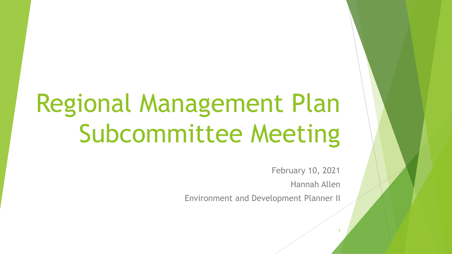# Regional Management Plan Subcommittee Meeting

February 10, 2021 Hannah Allen

1

Environment and Development Planner II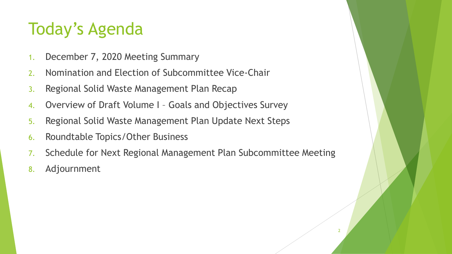## Today's Agenda

- 1. December 7, 2020 Meeting Summary
- 2. Nomination and Election of Subcommittee Vice-Chair
- 3. Regional Solid Waste Management Plan Recap
- 4. Overview of Draft Volume I Goals and Objectives Survey
- 5. Regional Solid Waste Management Plan Update Next Steps
- 6. Roundtable Topics/Other Business
- 7. Schedule for Next Regional Management Plan Subcommittee Meeting
- 8. Adjournment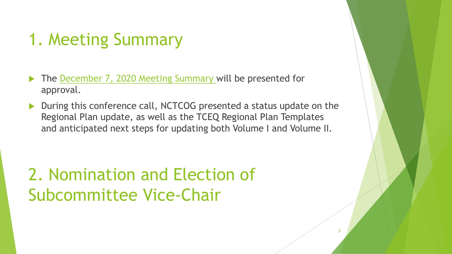## 1. Meeting Summary

- The [December 7, 2020 Meeting Summary w](https://nctcog.org/nctcg/media/Environment-and-Development/Committee%20Documents/RCC-Regional%20Management%20Plan%20Sub/FY2021/2020-12-07-RMPS-Summary.pdf?ext=.pdf)ill be presented for approval.
- During this conference call, NCTCOG presented a status update on the Regional Plan update, as well as the TCEQ Regional Plan Templates and anticipated next steps for updating both Volume I and Volume II.

## 2. Nomination and Election of Subcommittee Vice-Chair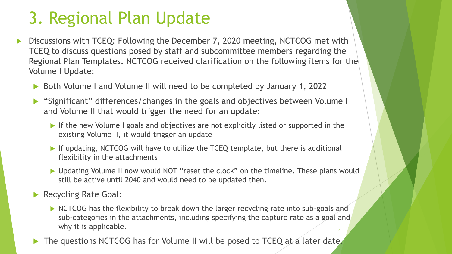## 3. Regional Plan Update

- Discussions with TCEQ: Following the December 7, 2020 meeting, NCTCOG met with TCEQ to discuss questions posed by staff and subcommittee members regarding the Regional Plan Templates. NCTCOG received clarification on the following items for the Volume I Update:
	- ▶ Both Volume I and Volume II will need to be completed by January 1, 2022
	- "Significant" differences/changes in the goals and objectives between Volume I and Volume II that would trigger the need for an update:
		- If the new Volume I goals and objectives are not explicitly listed or supported in the existing Volume II, it would trigger an update
		- If updating, NCTCOG will have to utilize the TCEQ template, but there is additional flexibility in the attachments
		- ▶ Updating Volume II now would NOT "reset the clock" on the timeline. These plans would still be active until 2040 and would need to be updated then.

Recycling Rate Goal:

- NCTCOG has the flexibility to break down the larger recycling rate into sub-goals and sub-categories in the attachments, including specifying the capture rate as a goal and why it is applicable. 4
- The questions NCTCOG has for Volume II will be posed to TCEQ at a later date.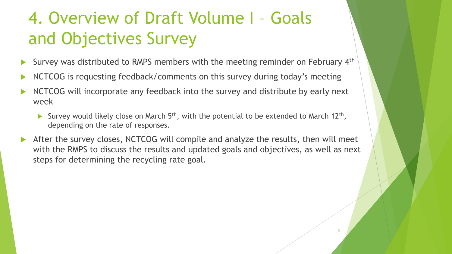## 4. Overview of Draft Volume I – Goals and Objectives Survey

- Survey was distributed to RMPS members with the meeting reminder on February 4<sup>th</sup>
- NCTCOG is requesting feedback/comments on this survey during today's meeting
- NCTCOG will incorporate any feedback into the survey and distribute by early next week
	- Survey would likely close on March  $5<sup>th</sup>$ , with the potential to be extended to March 12<sup>th</sup>, depending on the rate of responses.
- After the survey closes, NCTCOG will compile and analyze the results, then will meet with the RMPS to discuss the results and updated goals and objectives, as well as next steps for determining the recycling rate goal.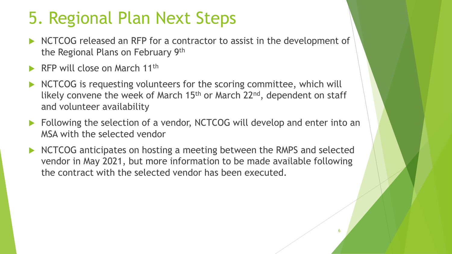## 5. Regional Plan Next Steps

- NCTCOG released an RFP for a contractor to assist in the development of the Regional Plans on February 9th
- RFP will close on March 11th
- NCTCOG is requesting volunteers for the scoring committee, which will likely convene the week of March  $15<sup>th</sup>$  or March  $22<sup>nd</sup>$ , dependent on staff and volunteer availability
- **Following the selection of a vendor, NCTCOG will develop and enter into an** MSA with the selected vendor
- NCTCOG anticipates on hosting a meeting between the RMPS and selected vendor in May 2021, but more information to be made available following the contract with the selected vendor has been executed.

6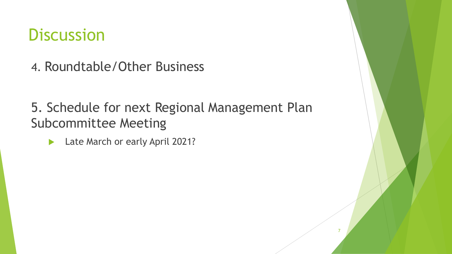#### **Discussion**

4. Roundtable/Other Business

5. Schedule for next Regional Management Plan Subcommittee Meeting

7

Late March or early April 2021?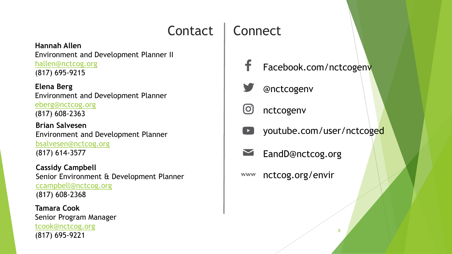#### Contact | Connect

**Hannah Allen** Environment and Development Planner II [hallen@nctcog.org](mailto:hallen@nctcog.org) (817) 695-9215

**Elena Berg** Environment and Development Planner [eberg@nctcog.org](mailto:eberg@nctcog.org) (817) 608-2363

**Brian Salvesen** Environment and Development Planner [bsalvesen@nctcog.org](mailto:bsalvesen@nctcog.org) (817) 614-3577

**Cassidy Campbell** Senior Environment & Development Planner [ccampbell@nctcog.org](mailto:ccampbell@nctcog.org) (817) 608-2368

**Tamara Cook** Senior Program Manager [tcook@nctcog.org](mailto:tcook@nctcog.org) (817) 695-9221





lO. nctcogenv

- youtube.com/user/nctcoged
- EandD@nctcog.org

nctcog.org/envir **WWW**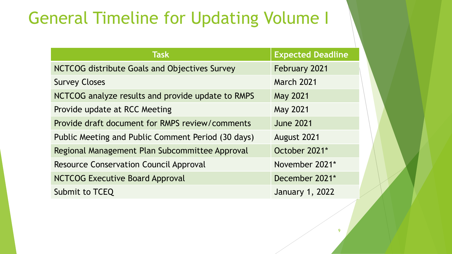#### General Timeline for Updating Volume I

| <b>Task</b>                                        | <b>Expected Deadline</b> |
|----------------------------------------------------|--------------------------|
| NCTCOG distribute Goals and Objectives Survey      | <b>February 2021</b>     |
| <b>Survey Closes</b>                               | <b>March 2021</b>        |
| NCTCOG analyze results and provide update to RMPS  | <b>May 2021</b>          |
| Provide update at RCC Meeting                      | <b>May 2021</b>          |
| Provide draft document for RMPS review/comments    | <b>June 2021</b>         |
| Public Meeting and Public Comment Period (30 days) | August 2021              |
| Regional Management Plan Subcommittee Approval     | October 2021*            |
| <b>Resource Conservation Council Approval</b>      | November 2021*           |
| <b>NCTCOG Executive Board Approval</b>             | December 2021*           |
| Submit to TCEQ                                     | <b>January 1, 2022</b>   |

9